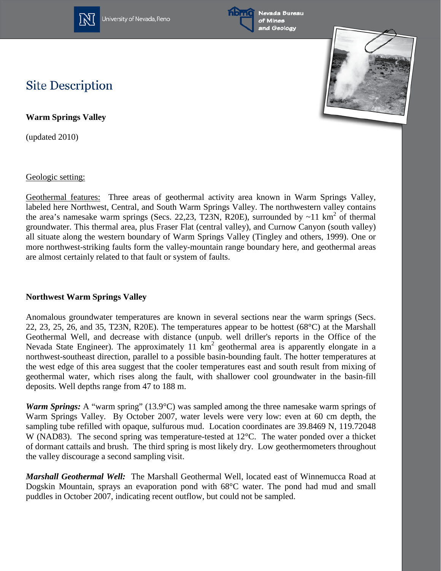

University of Nevada, Reno





### **Site Description**

**Warm Springs Valley**

(updated 2010)

Geologic setting:

Geothermal features: Three areas of geothermal activity area known in Warm Springs Valley, labeled here Northwest, Central, and South Warm Springs Valley. The northwestern valley contains the area's namesake warm springs (Secs. 22,23, T23N, R20E), surrounded by  $\sim$ 11 km<sup>2</sup> of thermal groundwater. This thermal area, plus Fraser Flat (central valley), and Curnow Canyon (south valley) all situate along the western boundary of Warm Springs Valley (Tingley and others, 1999). One or more northwest-striking faults form the valley-mountain range boundary here, and geothermal areas are almost certainly related to that fault or system of faults.

#### **Northwest Warm Springs Valley**

Anomalous groundwater temperatures are known in several sections near the warm springs (Secs. 22, 23, 25, 26, and 35, T23N, R20E). The temperatures appear to be hottest (68°C) at the Marshall Geothermal Well, and decrease with distance (unpub. well driller's reports in the Office of the Nevada State Engineer). The approximately 11  $km^2$  geothermal area is apparently elongate in a northwest-southeast direction, parallel to a possible basin-bounding fault. The hotter temperatures at the west edge of this area suggest that the cooler temperatures east and south result from mixing of geothermal water, which rises along the fault, with shallower cool groundwater in the basin-fill deposits. Well depths range from 47 to 188 m.

*Warm Springs:* A "warm spring" (13.9°C) was sampled among the three namesake warm springs of Warm Springs Valley. By October 2007, water levels were very low: even at 60 cm depth, the sampling tube refilled with opaque, sulfurous mud. Location coordinates are 39.8469 N, 119.72048 W (NAD83). The second spring was temperature-tested at 12°C. The water ponded over a thicket of dormant cattails and brush. The third spring is most likely dry. Low geothermometers throughout the valley discourage a second sampling visit.

*Marshall Geothermal Well:* The Marshall Geothermal Well, located east of Winnemucca Road at Dogskin Mountain, sprays an evaporation pond with 68°C water. The pond had mud and small puddles in October 2007, indicating recent outflow, but could not be sampled.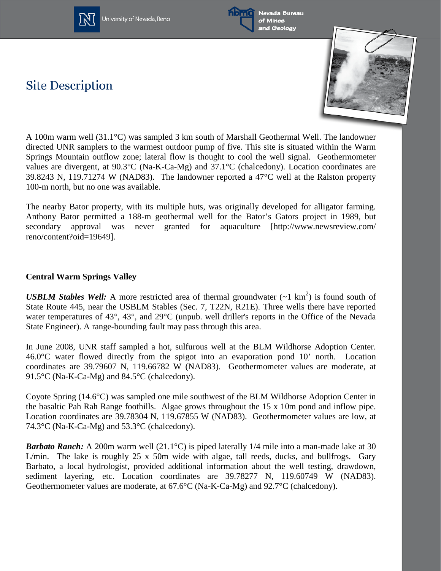

University of Nevada, Reno



Nevada Bureau of Mines and Geology

# **Site Description**



A 100m warm well (31.1°C) was sampled 3 km south of Marshall Geothermal Well. The landowner directed UNR samplers to the warmest outdoor pump of five. This site is situated within the Warm Springs Mountain outflow zone; lateral flow is thought to cool the well signal. Geothermometer values are divergent, at 90.3°C (Na-K-Ca-Mg) and 37.1°C (chalcedony). Location coordinates are 39.8243 N, 119.71274 W (NAD83). The landowner reported a 47°C well at the Ralston property 100-m north, but no one was available.

The nearby Bator property, with its multiple huts, was originally developed for alligator farming. Anthony Bator permitted a 188-m geothermal well for the Bator's Gators project in 1989, but secondary approval was never granted for aquaculture [http://www.newsreview.com/ reno/content?oid=19649].

#### **Central Warm Springs Valley**

*USBLM Stables Well:* A more restricted area of thermal groundwater  $(-1 \text{ km}^2)$  is found south of State Route 445, near the USBLM Stables (Sec. 7, T22N, R21E). Three wells there have reported water temperatures of 43°, 43°, and 29°C (unpub. well driller's reports in the Office of the Nevada State Engineer). A range-bounding fault may pass through this area.

In June 2008, UNR staff sampled a hot, sulfurous well at the BLM Wildhorse Adoption Center. 46.0°C water flowed directly from the spigot into an evaporation pond 10' north. Location coordinates are 39.79607 N, 119.66782 W (NAD83). Geothermometer values are moderate, at 91.5°C (Na-K-Ca-Mg) and 84.5°C (chalcedony).

Coyote Spring (14.6°C) was sampled one mile southwest of the BLM Wildhorse Adoption Center in the basaltic Pah Rah Range foothills. Algae grows throughout the 15 x 10m pond and inflow pipe. Location coordinates are 39.78304 N, 119.67855 W (NAD83). Geothermometer values are low, at 74.3°C (Na-K-Ca-Mg) and 53.3°C (chalcedony).

*Barbato Ranch:* A 200m warm well (21.1<sup>o</sup>C) is piped laterally 1/4 mile into a man-made lake at 30 L/min. The lake is roughly 25 x 50m wide with algae, tall reeds, ducks, and bullfrogs. Gary Barbato, a local hydrologist, provided additional information about the well testing, drawdown, sediment layering, etc. Location coordinates are 39.78277 N, 119.60749 W (NAD83). Geothermometer values are moderate, at 67.6°C (Na-K-Ca-Mg) and 92.7°C (chalcedony).